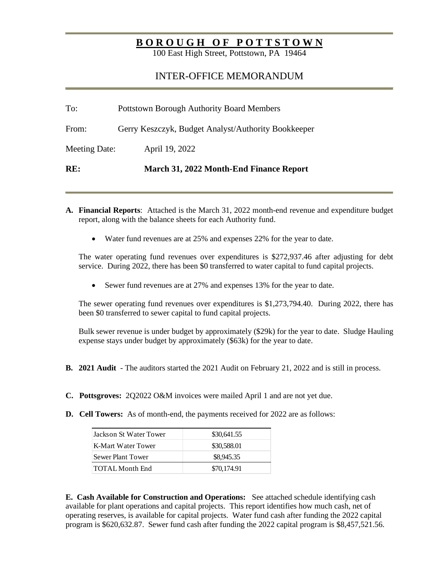## **B O R O U G H O F P O T T S T O W N**

100 East High Street, Pottstown, PA 19464

## INTER-OFFICE MEMORANDUM

| From:         | Gerry Keszczyk, Budget Analyst/Authority Bookkeeper |
|---------------|-----------------------------------------------------|
| Meeting Date: | April 19, 2022                                      |
| RE:           | March 31, 2022 Month-End Finance Report             |

- **A. Financial Reports**: Attached is the March 31, 2022 month-end revenue and expenditure budget report, along with the balance sheets for each Authority fund.
	- Water fund revenues are at 25% and expenses 22% for the year to date.

The water operating fund revenues over expenditures is \$272,937.46 after adjusting for debt service. During 2022, there has been \$0 transferred to water capital to fund capital projects.

• Sewer fund revenues are at 27% and expenses 13% for the year to date.

The sewer operating fund revenues over expenditures is \$1,273,794.40. During 2022, there has been \$0 transferred to sewer capital to fund capital projects.

Bulk sewer revenue is under budget by approximately (\$29k) for the year to date. Sludge Hauling expense stays under budget by approximately (\$63k) for the year to date.

- **B. 2021 Audit** The auditors started the 2021 Audit on February 21, 2022 and is still in process.
- **C. Pottsgroves:** 2Q2022 O&M invoices were mailed April 1 and are not yet due.
- **D.** Cell Towers: As of month-end, the payments received for 2022 are as follows:

| Jackson St Water Tower | \$30,641.55 |  |
|------------------------|-------------|--|
| K-Mart Water Tower     | \$30,588.01 |  |
| Sewer Plant Tower      | \$8,945.35  |  |
| TOTAL Month End        | \$70,174.91 |  |

**E. Cash Available for Construction and Operations:** See attached schedule identifying cash available for plant operations and capital projects. This report identifies how much cash, net of operating reserves, is available for capital projects. Water fund cash after funding the 2022 capital program is \$620,632.87. Sewer fund cash after funding the 2022 capital program is \$8,457,521.56.